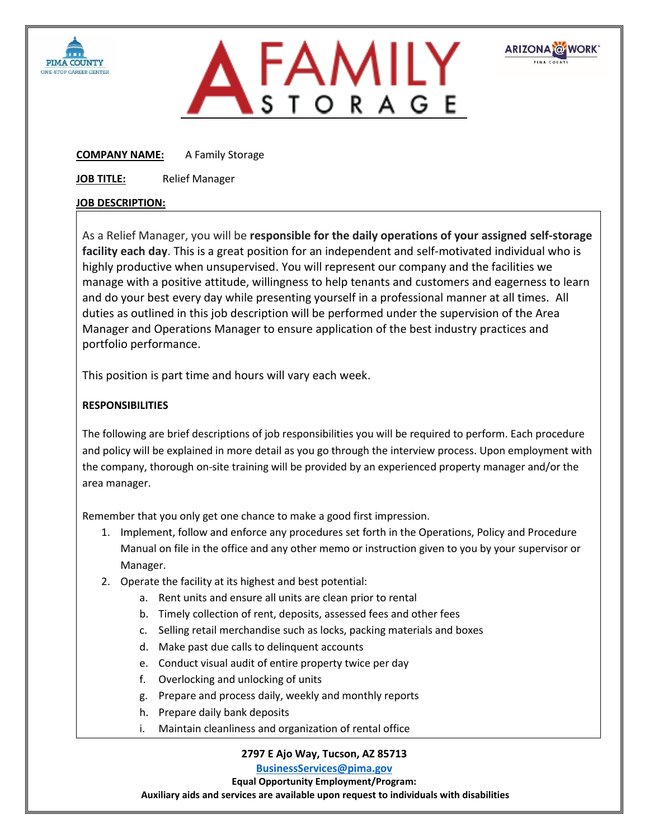



**ARIZONA @WORK** 

**COMPANY NAME:** A Family Storage

**JOB TITLE:** Relief Manager

## **JOB DESCRIPTION:**

As a Relief Manager, you will be **responsible for the daily operations of your assigned self-storage facility each day**. This is a great position for an independent and self-motivated individual who is highly productive when unsupervised. You will represent our company and the facilities we manage with a positive attitude, willingness to help tenants and customers and eagerness to learn and do your best every day while presenting yourself in a professional manner at all times. All duties as outlined in this job description will be performed under the supervision of the Area Manager and Operations Manager to ensure application of the best industry practices and portfolio performance.

This position is part time and hours will vary each week.

## **RESPONSIBILITIES**

The following are brief descriptions of job responsibilities you will be required to perform. Each procedure and policy will be explained in more detail as you go through the interview process. Upon employment with the company, thorough on‐site training will be provided by an experienced property manager and/or the area manager.

Remember that you only get one chance to make a good first impression.

- 1. Implement, follow and enforce any procedures set forth in the Operations, Policy and Procedure Manual on file in the office and any other memo or instruction given to you by your supervisor or Manager.
- 2. Operate the facility at its highest and best potential:
	- a. Rent units and ensure all units are clean prior to rental
	- b. Timely collection of rent, deposits, assessed fees and other fees
	- c. Selling retail merchandise such as locks, packing materials and boxes
	- d. Make past due calls to delinquent accounts
	- e. Conduct visual audit of entire property twice per day
	- f. Overlocking and unlocking of units
	- g. Prepare and process daily, weekly and monthly reports
	- h. Prepare daily bank deposits
	- i. Maintain cleanliness and organization of rental office

**2797 E Ajo Way, Tucson, AZ 85713**

**[BusinessServices@pima.gov](mailto:BusinessServices@pima.gov)**

**Equal Opportunity Employment/Program:**

**Auxiliary aids and services are available upon request to individuals with disabilities**